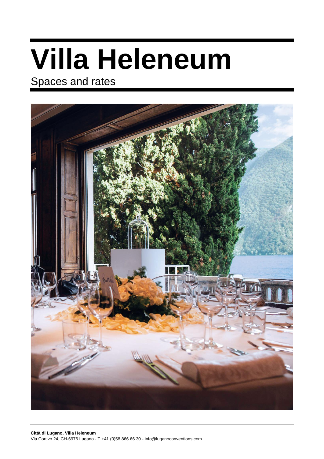# **Villa Heleneum**

# Spaces and rates

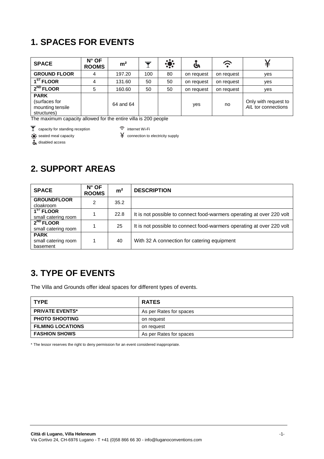# **1. SPACES FOR EVENTS**

| <b>SPACE</b>                                                    | N° OF<br><b>ROOMS</b> | m <sup>2</sup> |     |    | G          | ご          |                                             |
|-----------------------------------------------------------------|-----------------------|----------------|-----|----|------------|------------|---------------------------------------------|
| <b>GROUND FLOOR</b>                                             |                       | 197.20         | 100 | 80 | on request | on request | yes                                         |
| $1ST$ FLOOR                                                     |                       | 131.60         | 50  | 50 | on request | on request | yes                                         |
| $2^{ND}$ FLOOR                                                  | 5                     | 160.60         | 50  | 50 | on request | on request | yes                                         |
| <b>PARK</b><br>(surfaces for<br>mounting tensile<br>structures) |                       | 64 and 64      |     |    | yes        | no         | Only with request to<br>AIL tor connections |

The maximum capacity allowed for the entire villa is 200 people

T capacity for standing reception  $\widehat{\mathcal{F}}$  internet Wi-Fi

disabled access

 $\ddot{\bullet}$  seated meal capacity  $\ddot{\bullet}$ 

## **2. SUPPORT AREAS**

| <b>SPACE</b>                                   | $N^{\circ}$ OF<br><b>ROOMS</b> | m <sup>2</sup> | <b>DESCRIPTION</b>                                                    |
|------------------------------------------------|--------------------------------|----------------|-----------------------------------------------------------------------|
| <b>GROUNDFLOOR</b><br>cloakroom                | 2                              | 35.2           |                                                                       |
| 1 <sup>SI</sup> FLOOR<br>small catering room   |                                | 22.8           | It is not possible to connect food-warmers operating at over 220 volt |
| $2^{ND}$ FLOOR<br>small catering room          |                                | 25             | It is not possible to connect food-warmers operating at over 220 volt |
| <b>PARK</b><br>small catering room<br>basement |                                | 40             | With 32 A connection for catering equipment                           |

## **3. TYPE OF EVENTS**

The Villa and Grounds offer ideal spaces for different types of events.

| <b>TYPE</b>              | <b>RATES</b>            |
|--------------------------|-------------------------|
| <b>PRIVATE EVENTS*</b>   | As per Rates for spaces |
| <b>PHOTO SHOOTING</b>    | on request              |
| <b>FILMING LOCATIONS</b> | on request              |
| <b>FASHION SHOWS</b>     | As per Rates for spaces |

\* The lessor reserves the right to deny permission for an event considered inappropriate.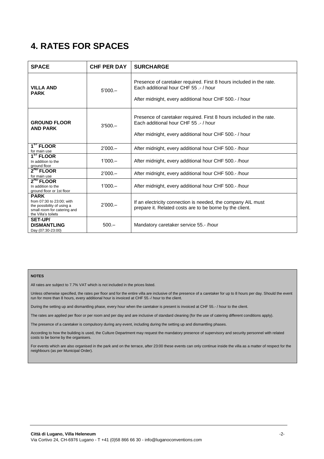## **4. RATES FOR SPACES**

| <b>SPACE</b>                                                                                                                 | <b>CHF PER DAY</b> | <b>SURCHARGE</b>                                                                                                                                                     |
|------------------------------------------------------------------------------------------------------------------------------|--------------------|----------------------------------------------------------------------------------------------------------------------------------------------------------------------|
| <b>VILLA AND</b><br><b>PARK</b>                                                                                              | $5'000 -$          | Presence of caretaker required. First 8 hours included in the rate.<br>Each additional hour CHF 55 .- / hour<br>After midnight, every additional hour CHF 500.-/hour |
| <b>GROUND FLOOR</b><br><b>AND PARK</b>                                                                                       | $3'500 -$          | Presence of caretaker required. First 8 hours included in the rate.<br>Each additional hour CHF 55 .- / hour<br>After midnight, every additional hour CHF 500.-/hour |
| 1 <sup>S</sup> FLOOR<br>$2'000 -$<br>for main use                                                                            |                    | After midnight, every additional hour CHF 500.-/hour                                                                                                                 |
| 1 <sup>ST</sup> FLOOR<br>$1'000 -$<br>In addition to the<br>ground floor                                                     |                    | After midnight, every additional hour CHF 500.-/hour                                                                                                                 |
| $2^{ND}$ FLOOR<br>for main use                                                                                               | $2'000 -$          | After midnight, every additional hour CHF 500.-/hour                                                                                                                 |
| $2ND$ FLOOR<br>In addition to the<br>ground floor or 1st floor                                                               | $1'000 -$          | After midnight, every additional hour CHF 500 .- /hour                                                                                                               |
| <b>PARK</b><br>from 07:30 to 23:00: with<br>the possibility of using a<br>small room for catering and<br>the Villa's toilets | $2'000 -$          | If an electricity connection is needed, the company AIL must<br>prepare it. Related costs are to be borne by the client.                                             |
| <b>SET-UP/</b><br><b>DISMANTLING</b><br>Day (07:30-23:00)                                                                    | $500 -$            | Mandatory caretaker service 55.-/hour                                                                                                                                |

#### **NOTES**

All rates are subject to 7.7% VAT which is not included in the prices listed.

Unless otherwise specified, the rates per floor and for the entire villa are inclusive of the presence of a caretaker for up to 8 hours per day. Should the event run for more than 8 hours, every additional hour is invoiced at CHF 55.-/ hour to the client.

During the setting up and dismantling phase, every hour when the caretaker is present is invoiced at CHF 55.- / hour to the client.

The rates are applied per floor or per room and per day and are inclusive of standard cleaning (for the use of catering different conditions apply).

The presence of a caretaker is compulsory during any event, including during the setting up and dismantling phases.

According to how the building is used, the Culture Department may request the mandatory presence of supervisory and security personnel with related costs to be borne by the organisers.

For events which are also organised in the park and on the terrace, after 23:00 these events can only continue inside the villa as a matter of respect for the neighbours (as per Municipal Order).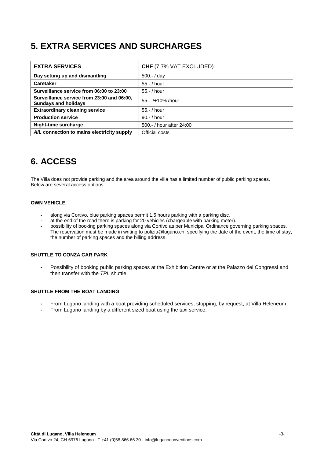## **5. EXTRA SERVICES AND SURCHARGES**

| <b>EXTRA SERVICES</b>                                                     | <b>CHF</b> (7.7% VAT EXCLUDED) |  |  |  |
|---------------------------------------------------------------------------|--------------------------------|--|--|--|
| Day setting up and dismantling                                            | $500 - / day$                  |  |  |  |
| <b>Caretaker</b>                                                          | $55 - / hour$                  |  |  |  |
| Surveillance service from 06:00 to 23:00                                  | $55 - / hour$                  |  |  |  |
| Surveillance service from 23:00 and 06:00,<br><b>Sundays and holidays</b> | $55 - (+10\% / hour)$          |  |  |  |
| <b>Extraordinary cleaning service</b>                                     | 55.-/hour                      |  |  |  |
| <b>Production service</b>                                                 | $90.-/$ hour                   |  |  |  |
| Night-time surcharge                                                      | 500 .- / hour after 24:00      |  |  |  |
| AIL connection to mains electricity supply                                | Official costs                 |  |  |  |

## **6. ACCESS**

The Villa does not provide parking and the area around the villa has a limited number of public parking spaces. Below are several access options:

## **OWN VEHICLE**

- **-** along via Cortivo, blue parking spaces permit 1.5 hours parking with a parking disc.
- **-** at the end of the road there is parking for 20 vehicles (chargeable with parking meter).
- **-** possibility of booking parking spaces along via Cortivo as per Municipal Ordinance governing parking spaces. The reservation must be made in writing to polizia@lugano.ch, specifying the date of the event, the time of stay, the number of parking spaces and the billing address.

## **SHUTTLE TO CONZA CAR PARK**

**-** Possibility of booking public parking spaces at the Exhibition Centre or at the Palazzo dei Congressi and then transfer with the *TPL* shuttle

## **SHUTTLE FROM THE BOAT LANDING**

- **-** From Lugano landing with a boat providing scheduled services, stopping, by request, at Villa Heleneum
- **-** From Lugano landing by a different sized boat using the taxi service.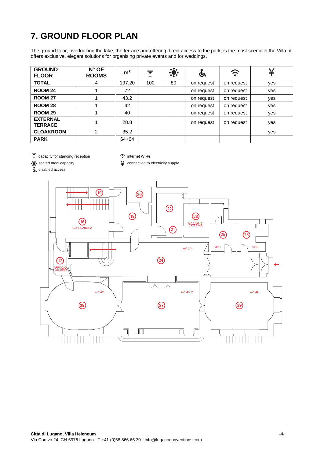# **7. GROUND FLOOR PLAN**

The ground floor, overlooking the lake, the terrace and offering direct access to the park, is the most scenic in the Villa; it offers exclusive, elegant solutions for organising private events and for weddings.

| <b>GROUND</b><br><b>FLOOR</b>     | $N^{\circ}$ OF<br><b>ROOMS</b> | m <sup>2</sup> |     | $\sim$<br><b>.9:</b> | Э          | ご          |     |
|-----------------------------------|--------------------------------|----------------|-----|----------------------|------------|------------|-----|
| <b>TOTAL</b>                      | 4                              | 197.20         | 100 | 80                   | on request | on request | yes |
| <b>ROOM 24</b>                    |                                | 72             |     |                      | on request | on request | yes |
| <b>ROOM 27</b>                    |                                | 43.2           |     |                      | on request | on request | yes |
| <b>ROOM 28</b>                    |                                | 42             |     |                      | on request | on request | yes |
| <b>ROOM 29</b>                    |                                | 40             |     |                      | on request | on request | yes |
| <b>EXTERNAL</b><br><b>TERRACE</b> | 1                              | 28.8           |     |                      | on request | on request | yes |
| <b>CLOAKROOM</b>                  | $\overline{2}$                 | 35.2           |     |                      |            |            | yes |
| <b>PARK</b>                       |                                | 64+64          |     |                      |            |            |     |

 $\overline{\Upsilon}$  capacity for standing reception  $\widehat{\Upsilon}$  internet Wi-Fi

disabled access



 $\ddot{\bullet}$  seated meal capacity  $\breve{\bullet}$  connection to electricity supply

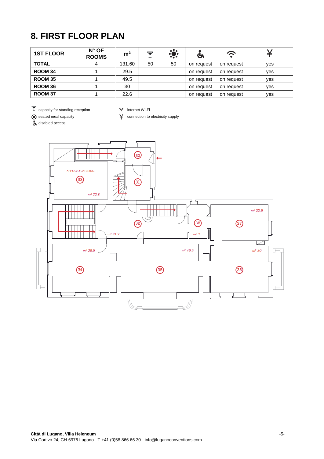# **8. FIRST FLOOR PLAN**

| <b>1ST FLOOR</b> | $N^{\circ}$ OF<br><b>ROOMS</b> | m <sup>2</sup> |    |    | ৬          | $\widehat{\mathcal{L}}$ |     |
|------------------|--------------------------------|----------------|----|----|------------|-------------------------|-----|
| <b>TOTAL</b>     | 4                              | 131.60         | 50 | 50 | on request | on request              | yes |
| ROOM 34          |                                | 29.5           |    |    | on request | on request              | yes |
| <b>ROOM 35</b>   |                                | 49.5           |    |    | on request | on request              | yes |
| ROOM 36          |                                | 30             |    |    | on request | on request              | yes |
| <b>ROOM 37</b>   |                                | 22.6           |    |    | on request | on request              | yes |

 $\overline{\mathbf{T}}$  capacity for standing reception  $\widehat{\mathbb{C}}$  internet Wi-Fi

 $\ddot{\bullet}$  seated meal capacity  $\breve{\bullet}$  connection to electricity supply



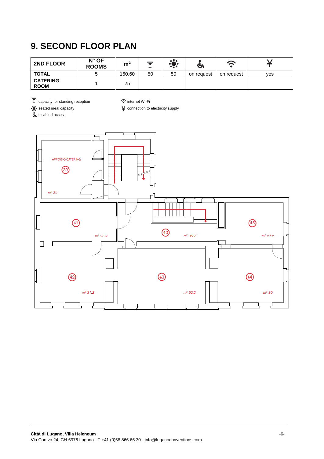## **9. SECOND FLOOR PLAN**

| 2ND FLOOR                      | $N^{\circ}$ OF<br><b>ROOMS</b> | m <sup>2</sup> | ᅩ  | $\bullet$ .<br>١e<br> | ఆ          | ς          |     |
|--------------------------------|--------------------------------|----------------|----|-----------------------|------------|------------|-----|
| <b>TOTAL</b>                   |                                | 160.60         | 50 | 50                    | on request | on request | ves |
| <b>CATERING</b><br><b>ROOM</b> |                                | 25             |    |                       |            |            |     |

 $\overline{\mathbf{T}}$  capacity for standing reception  $\widehat{\mathbf{T}}$  internet Wi-Fi

 $\ddot{\bullet}$  disabled access



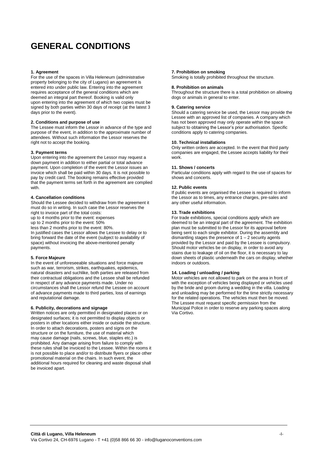## **GENERAL CONDITIONS**

#### **1. Agreement**

For the use of the spaces in Villa Heleneum (administrative property belonging to the city of Lugano) an agreement is entered into under public law. Entering into the agreement requires acceptance of the general conditions which are deemed an integral part thereof. Booking is valid only upon entering into the agreement of which two copies must be signed by both parties within 30 days of receipt (at the latest 3 days prior to the event).

#### **2. Conditions and purpose of use**

The Lessee must inform the Lessor in advance of the type and purpose of the event, in addition to the approximate number of attendees. Without such information the Lessor reserves the right not to accept the booking.

#### **3. Payment terms**

Upon entering into the agreement the Lessor may request a down payment in addition to either partial or total advance payment. Upon completion of the event the Lessor issues an invoice which shall be paid within 30 days. It is not possible to pay by credit card. The booking remains effective provided that the payment terms set forth in the agreement are complied with.

#### **4. Cancellation conditions**

Should the Lessee decided to withdraw from the agreement it must do so in writing. In such case the Lessor reserves the right to invoice part of the total costs:

up to 4 months prior to the event: expenses

up to 2 months prior to the event: 50%

less than 2 months prior to the event: 80%.

In justified cases the Lessor allows the Lessee to delay or to bring forward the date of the event (subject to availability of space) without invoicing the above-mentioned penalty payments.

#### **5. Force Majeure**

In the event of unforeseeable situations and force majeure such as war, terrorism, strikes, earthquakes, epidemics, natural disasters and suchlike, both parties are released from their contractual obligations and the Lessee shall be refunded in respect of any advance payments made. Under no circumstances shall the Lessor refund the Lessee on account of advance payments made to third parties, loss of earnings and reputational damage.

#### **6. Publicity, decorations and signage**

Written notices are only permitted in designated places or on designated surfaces; it is not permitted to display objects or posters in other locations either inside or outside the structure. In order to attach decorations, posters and signs on the structure or on the furniture, the use of material which may cause damage (nails, screws, blue, staples etc.) is prohibited. Any damage arising from failure to comply with these rules shall be invoiced to the Lessee. Within the rooms it is not possible to place and/or to distribute flyers or place other promotional material on the chairs. In such event, the additional hours required for cleaning and waste disposal shall be invoiced apart.

#### **7. Prohibition on smoking**

Smoking is totally prohibited throughout the structure.

#### **8. Prohibition on animals**

Throughout the structure there is a total prohibition on allowing dogs or animals in general to enter.

#### **9. Catering service**

Should a catering service be used, the Lessor may provide the Lessee with an approved list of companies. A company which has not been approved may only operate within the space subject to obtaining the Lessor's prior authorisation. Specific conditions apply to catering companies.

#### **10. Technical installations**

Only written orders are accepted. In the event that third party companies are engaged, the Lessee accepts liability for their work.

#### **11. Shows / concerts**

Particular conditions apply with regard to the use of spaces for shows and concerts.

#### **12. Public events**

If public events are organised the Lessee is required to inform the Lessor as to times, any entrance charges, pre-sales and any other useful information.

#### **13. Trade exhibitions**

For trade exhibitions, special conditions apply which are deemed to be an integral part of the agreement. The exhibition plan must be submitted to the Lessor for its approval before being sent to each single exhibitor. During the assembly and dismantling stages the presence of  $1 - 2$  security agents provided by the Lessor and paid by the Lessee is compulsory. Should motor vehicles be on display, in order to avoid any stains due to leakage of oil on the floor, it is necessary to lay down sheets of plastic underneath the cars on display, whether indoors or outdoors.

#### **14. Loading / unloading / parking**

Motor vehicles are not allowed to park on the area in front of with the exception of vehicles being displayed or vehicles used by the bride and groom during a wedding in the villa. Loading and unloading may be performed for the time strictly necessary for the related operations. The vehicles must then be moved. The Lessee must request specific permission from the Municipal Police in order to reserve any parking spaces along Via Cortivo.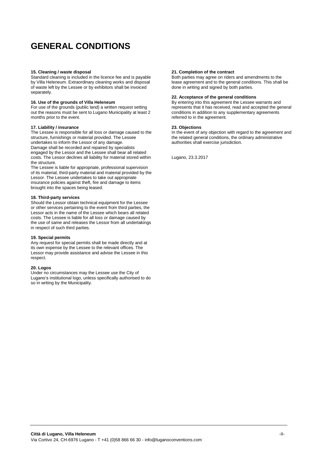## **GENERAL CONDITIONS**

#### **15. Cleaning / waste disposal**

Standard cleaning is included in the licence fee and is payable by Villa Heleneum. Extraordinary cleaning works and disposal of waste left by the Lessee or by exhibitors shall be invoiced separately.

#### **16. Use of the grounds of Villa Heleneum**

For use of the grounds (public land) a written request setting out the reasons must be sent to Lugano Municipality at least 2 months prior to the event.

#### **17. Liability / insurance**

The Lessee is responsible for all loss or damage caused to the structure, furnishings or material provided. The Lessee undertakes to inform the Lessor of any damage.

Damage shall be recorded and repaired by specialists engaged by the Lessor and the Lessee shall bear all related costs. The Lessor declines all liability for material stored within the structure.

The Lessee is liable for appropriate, professional supervision of its material, third-party material and material provided by the Lessor. The Lessee undertakes to take out appropriate insurance policies against theft, fire and damage to items brought into the spaces being leased.

#### **18. Third-party services**

Should the Lessor obtain technical equipment for the Lessee or other services pertaining to the event from third parties, the Lessor acts in the name of the Lessee which bears all related costs. The Lessee is liable for all loss or damage caused by the use of same and releases the Lessor from all undertakings in respect of such third parties.

#### **19. Special permits**

Any request for special permits shall be made directly and at its own expense by the Lessee to the relevant offices. The Lessor may provide assistance and advise the Lessee in this respect.

#### **20. Logos**

Under no circumstances may the Lessee use the City of Lugano's institutional logo, unless specifically authorised to do so in writing by the Municipality.

#### **21. Completion of the contract**

Both parties may agree on riders and amendments to the lease agreement and to the general conditions. This shall be done in writing and signed by both parties.

#### **22. Acceptance of the general conditions**

By entering into this agreement the Lessee warrants and represents that it has received, read and accepted the general conditions in addition to any supplementary agreements referred to in the agreement.

#### **23. Objections**

In the event of any objection with regard to the agreement and the related general conditions, the ordinary administrative authorities shall exercise jurisdiction.

Lugano, 23.3.2017